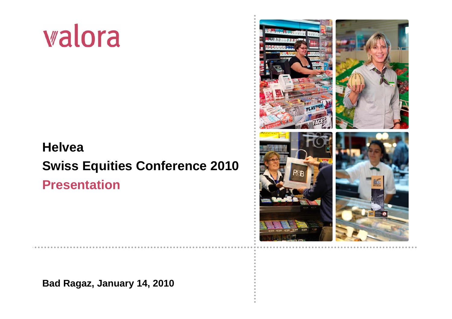# walora

## **HelveaSwiss Equities Conference 2010 Presentation**



**Bad Ragaz, January 14, 2010**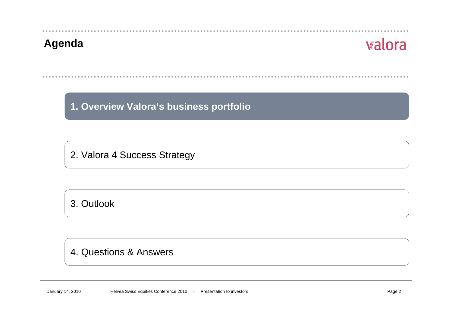

**1. Overview Valora's business portfolio**

2. Valora 4 Success Strategy

3. Outlook

#### 4. Questions & Answers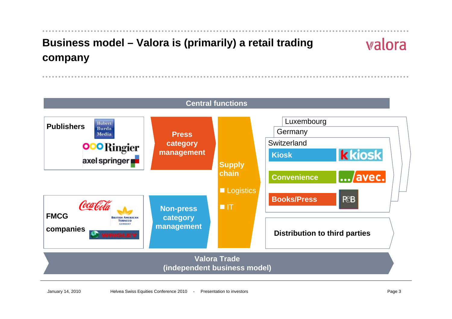## **Business model – Valora is (primarily) a retail trading company**

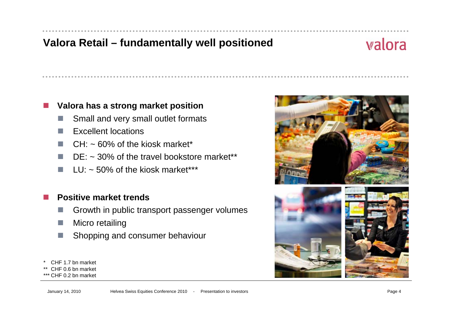#### **Valora Retail – fundamentally well positioned**

## valora

#### **Valora has a strong market position**

- m, Small and very small outlet formats
- m, Excellent locations
- L.  $CH: \sim 60\%$  of the kiosk market\*
- a s  $DE: ~ 30\%$  of the travel bookstore market\*\*
- $LU: ~ 50\%$  of the kiosk market\*\*\*

#### **Positive market trends**

- m, Growth in public transport passenger volumes
- $\mathcal{L}^{\mathcal{L}}$ Micro retailing
- L. Shopping and consumer behaviour
- CHF 1.7 bn market

p.

- CHF 0.6 bn market
- \*\*\*CHF 0.2 bn market

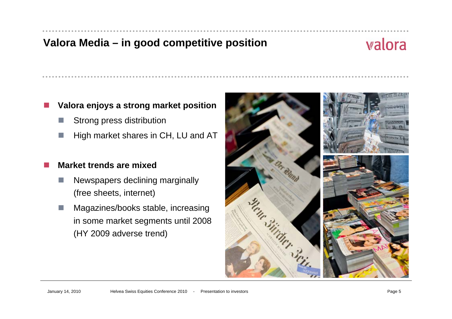#### **Valora Media – in good competitive position**

## valora

#### **Valora enjoys a strong market position**

- Strong press distribution
- L. High market shares in CH, LU and AT

#### Ħ **Market trends are mixed**

- Newspapers declining marginally (free sheets, internet)
- Magazines/books stable, increasing in some market segments until 2008 (HY 2009 adverse trend)

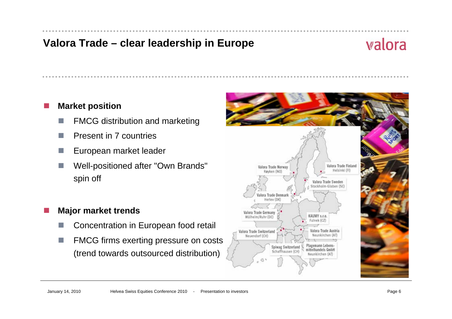#### **Valora Trade – clear leadership in Europe**

## valora

#### F. **Market position**

- F FMCG distribution and marketing
- F Present in 7 countries
- European market leader
- Well-positioned after "Own Brands" spin off

#### **Major market trends**

Ħ

- D Concentration in European food retail
- **College**  FMCG firms exerting pressure on costs (trend towards outsourced distribution)

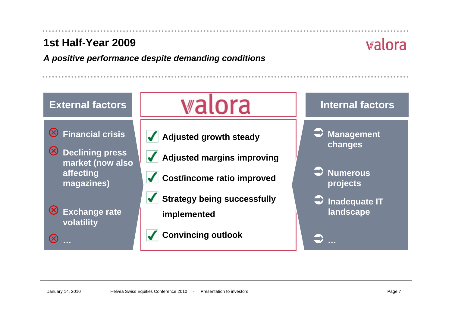#### **1st Half-Year 2009**

valora

*A positive performance despite demanding conditions*

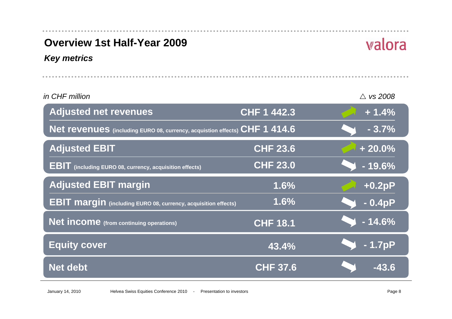| <b>Overview 1st Half-Year 2009</b>                                         |                    | walora              |
|----------------------------------------------------------------------------|--------------------|---------------------|
| <b>Key metrics</b>                                                         |                    |                     |
|                                                                            |                    |                     |
| in CHF million                                                             |                    | $\triangle$ vs 2008 |
| <b>Adjusted net revenues</b>                                               | <b>CHF 1 442.3</b> | $+1.4%$             |
| Net revenues (including EURO 08, currency, acquistion effects) CHF 1 414.6 |                    | $-3.7%$             |
| <b>Adjusted EBIT</b>                                                       | <b>CHF 23.6</b>    | $+20.0%$            |
| <b>EBIT</b> (including EURO 08, currency, acquisition effects)             | <b>CHF 23.0</b>    | $-19.6%$            |
| <b>Adjusted EBIT margin</b>                                                | 1.6%               | $+0.2pP$            |
| <b>EBIT margin</b> (including EURO 08, currency, acquisition effects)      | 1.6%               | $-0.4pP$            |
| <b>Net income</b> (from continuing operations)                             | <b>CHF 18.1</b>    | $-14.6%$            |
| <b>Equity cover</b>                                                        | 43.4%              | $-1.7pP$            |
| <b>Net debt</b>                                                            | <b>CHF 37.6</b>    | $-43.6$             |

 $\sim$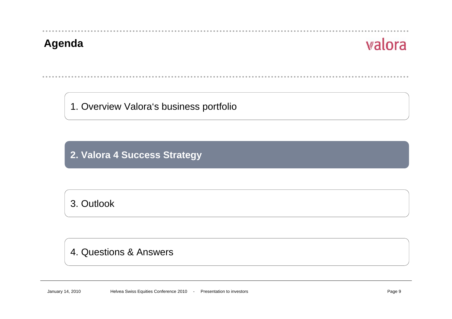**Agenda**

1. Overview Valora's business portfolio

**2. Valora 4 Success Strategy**

3. Outlook

#### 4. Questions & Answers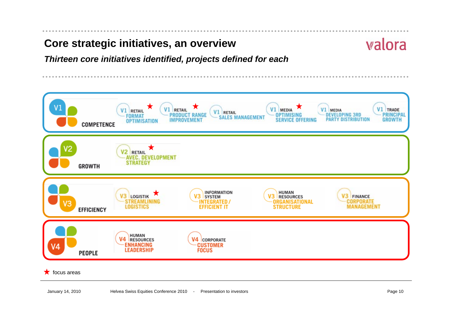#### **Core strategic initiatives, an overview**

## valora

*Thirteen core initiatives identified, projects defined for each*

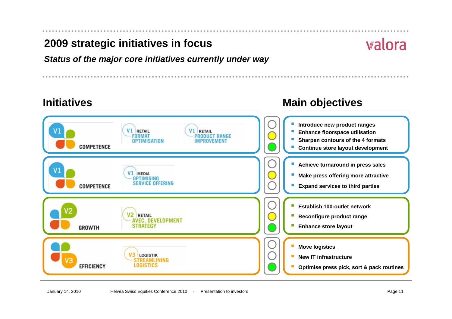#### **2009 strategic initiatives in focus**

#### *Status of the major core initiatives currently under way*

## **Initiatives**

#### **Introduce new product ranges** П RETAIL RETAIL **Enhance floorspace utilisation** П **FORMAT PRODUCT RANGE Sharpen contours of the 4 formats OPTIMISATION** П IMPROVEMENT **COMPETENCE Continue store layout development** П **Achieve turnaround in press sales** Г V1 MEDIA **Make press offering more attractive** Г **OPTIMISING SERVICE OFFERING COMPETENCE** a. **Expand services to third parties Establish 100-outlet network**П **RETAIL Reconfigure product range** L. **AVEC. DEVELOPMENT Enhance store layout GROWTH STRATEGY** П **Move logistics** П V3 Logistik **New IT infrastructure**П V<sub>3</sub> **STREAMLINING EFFICIENCY LOGISTICS Optimise press pick, sort & pack routines** П

#### **Main objectives**

## walora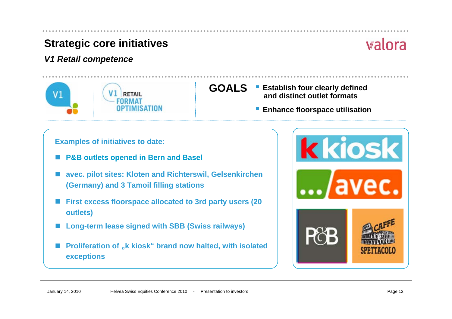#### *V1 Retail competence*



- **GOALS Establish four clearly defined and distinct outlet formats**
	- П **Enhance floorspace utilisation**

#### **Examples of initiatives to date:**

- $\overline{\phantom{a}}$ **P&B outlets opened in Bern and Basel**
- $\overline{\phantom{a}}$  **avec. pilot sites: Kloten and Richterswil, Gelsenkirchen (Germany) and 3 Tamoil filling stations**
- $\overline{\phantom{a}}$  **First excess floorspace allocated to 3rd party users (20 outlets)**
- **Long-term lease signed with SBB (Swiss railways)**
- $\overline{\phantom{a}}$  **Proliferation of "k kiosk" brand now halted, with isolated exceptions**

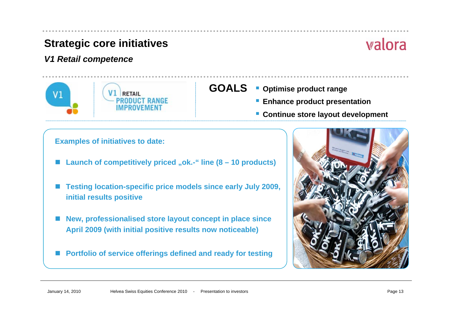#### *V1 Retail competence*



#### **GOALS**

- **Optimise product range**
	- **Enhance product presentation**
	- **Continue store layout development**

#### **Examples of initiatives to date:**

- $\overline{\phantom{a}}$ **Launch of competitively priced "ok.-" line (8 – 10 products)**
- **Testing location-specific price models since early July 2009, initial results positive**
- $\overline{\phantom{a}}$  **New, professionalised store layout concept in place since April 2009 (with initial positive results now noticeable)**
- $\overline{\phantom{a}}$ **Portfolio of service offerings defined and ready for testing**

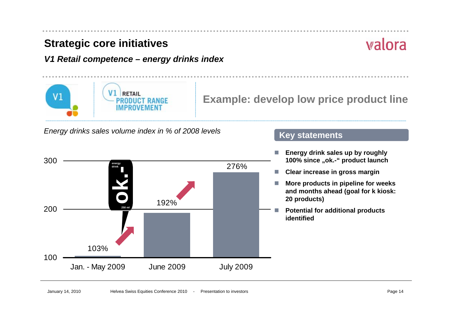$\mathsf{V} 1$ 

*V1 Retail competence – energy drinks index*

**Example: develop low price product line**

**Key statements**

*Energy drinks sales volume index in % of 2008 levels*

**RETAIL** 

**PRODUCT RANGE** 

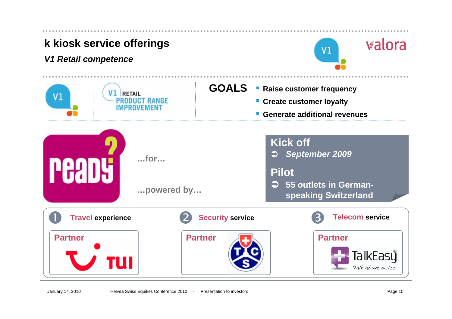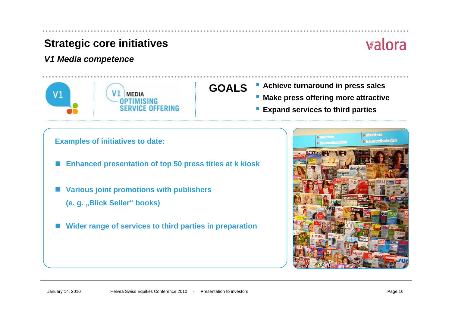#### *V1 Media competence*



## **GOALS**

- **Achieve turnaround in press sales**
	- **Make press offering more attractive**
	- П **Expand services to third parties**

#### **Examples of initiatives to date:**

- F **Enhanced presentation of top 50 press titles at k kiosk**
- $\overline{\phantom{a}}$  **Various joint promotions with publishers**
	- **(e. g. "Blick Seller" books)**
- **Wider range of services to third parties in preparation**

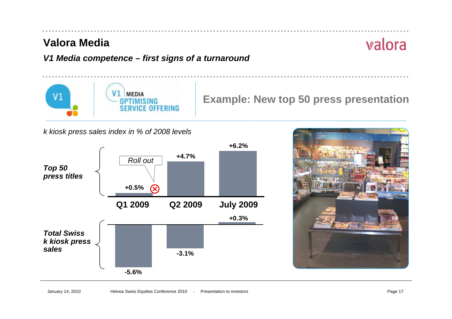#### **Valora Media**

## valora

#### *V1 Media competence – first signs of a turnaround*



**Example: New top 50 press presentation** 

*k kiosk press sales index in % of 2008 levels*



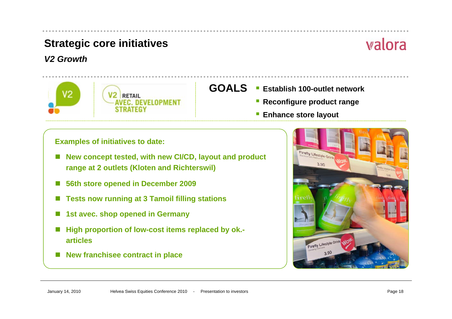#### *V2 Growth*



## valora

- **GOALS Establish 100-outlet network**
	- **Reconfigure product range**
	- **Enhance store layout**

**Examples of initiatives to date:** 

- П **New concept tested, with new CI/CD, layout and product range at 2 outlets (Kloten and Richterswil)**
- **56th store opened in December 2009**
- **Tests now running at 3 Tamoil filling stations**
- **1st avec. shop opened in Germany**
- **High proportion of low-cost items replaced by ok. articles**
- F. **New franchisee contract in place**

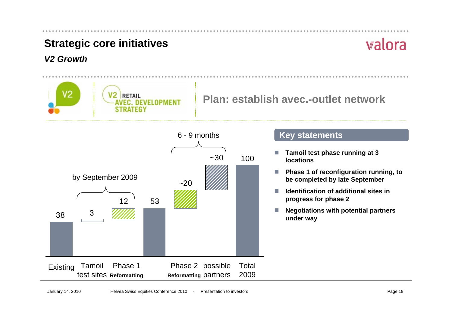#### *V2 Growth*

# valora





#### **Key statements**

- m. **Tamoil test phase running at 3 locations**
- m. **Phase 1 of reconfiguration running, to be completed by late September**
- m. **Identification of additional sites in progress for phase 2**
- m. **Negotiations with potential partners under way**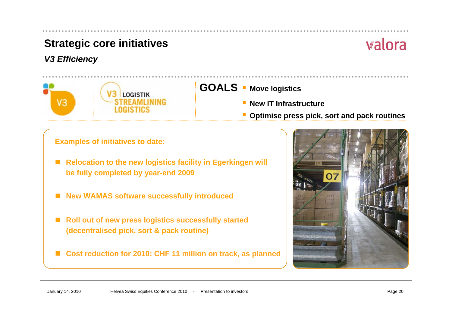#### *V3 Efficiency*



**GOALS Move logistics**

- **New IT Infrastructure**
- **Optimise press pick, sort and pack routines**

**Examples of initiatives to date:** 

- **Relocation to the new logistics facility in Egerkingen will be fully completed by year-end 2009**
- **New WAMAS software successfully introduced**
- × **Roll out of new press logistics successfully started (decentralised pick, sort & pack routine)**
- **Cost reduction for 2010: CHF 11 million on track, as planned**

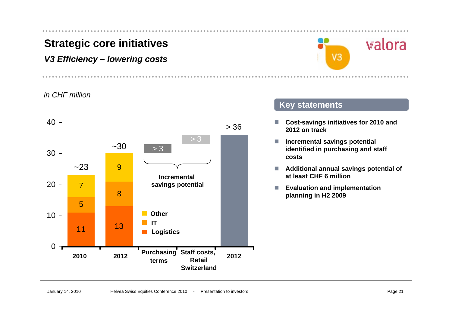#### *V3 Efficiency – lowering costs*



#### *in CHF million*



#### **Key statements**

- **I Cost-savings initiatives for 2010 and 2012 on track**
- $\mathbb{R}^n$  **Incremental savings potential identified in purchasing and staff costs**
- $\overline{\phantom{a}}$  **Additional annual savings potential of at least CHF 6 million**
- L. **Evaluation and implementation planning in H2 2009**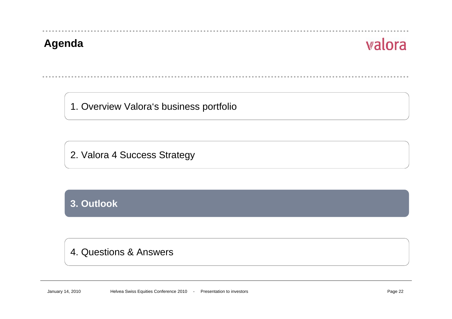#### **Agenda**

## valora

1. Overview Valora's business portfolio

2. Valora 4 Success Strategy

#### **3. Outlook**

#### 4. Questions & Answers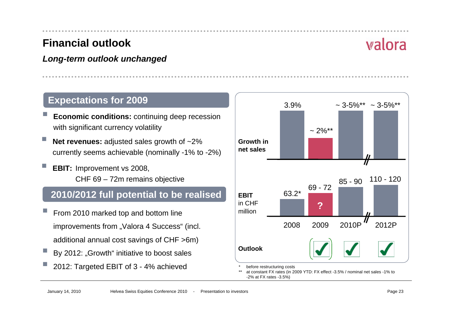#### **Financial outlook**

#### *Long-term outlook unchanged*

#### **Expectations for 2009**

- **Economic conditions:** continuing deep recession with significant currency volatility
- **Net revenues:** adjusted sales growth of ~2% currently seems achievable (nominally -1% to -2%)
- **EBIT:** Improvement vs 2008, CHF 69 – 72m remains objective

#### **2010/2012 full potential to be realised**

- From 2010 marked top and bottom line improvements from "Valora 4 Success" (incl. additional annual cost savings of CHF >6m)
- By 2012: "Growth" initiative to boost sales
- τ 2012: Targeted EBIT of 3 - 4% achieved



\*before restructuring costs

\*\* at constant FX rates (in 2009 YTD: FX effect -3.5% / nominal net sales -1% to -2% at FX rates -3.5%)

## walora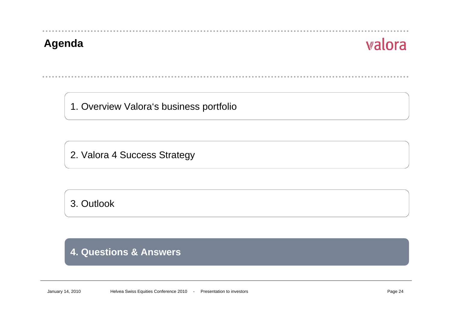#### **Agenda**

## valora

1. Overview Valora's business portfolio

2. Valora 4 Success Strategy

3. Outlook

#### **4. Questions & Answers**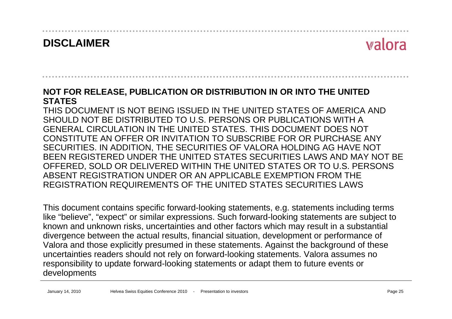## **DISCLAIMER**

## valora

#### **NOT FOR RELEASE, PUBLICATION OR DISTRIBUTION IN OR INTO THE UNITED STATES**

THIS DOCUMENT IS NOT BEING ISSUED IN THE UNITED STATES OF AMERICA AND SHOULD NOT BE DISTRIBUTED TO U.S. PERSONS OR PUBLICATIONS WITH AGENERAL CIRCULATION IN THE UNITED STATES. THIS DOCUMENT DOES NOTCONSTITUTE AN OFFER OR INVITATION TO SUBSCRIBE FOR OR PURCHASE ANY SECURITIES. IN ADDITION, THE SECURITIES OF VALORA HOLDING AG HAVE NOT BEEN REGISTERED UNDER THE UNITED STATES SECURITIES LAWS AND MAY NOT BE OFFERED, SOLD OR DELIVERED WITHIN THE UNITED STATES OR TO U.S. PERSONS ABSENT REGISTRATION UNDER OR AN APPLICABLE EXEMPTION FROM THE REGISTRATION REQUIREMENTS OF THE UNITED STATES SECURITIES LAWS

This document contains specific forward-looking statements, e.g. statements including terms like "believe", "expect" or similar expressions. Such forward-looking statements are subject to known and unknown risks, uncertainties and other factors which may result in a substantial divergence between the actual results, financial situation, development or performance of Valora and those explicitly presumed in these statements. Against the background of these uncertainties readers should not rely on forward-looking statements. Valora assumes no responsibility to update forward-looking statements or adapt them to future events or developments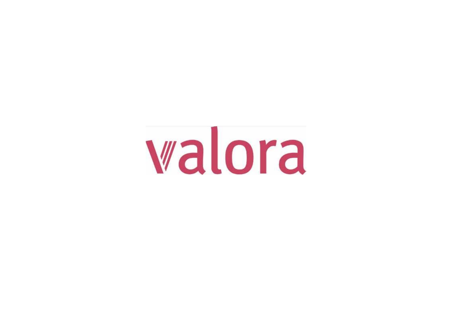# walora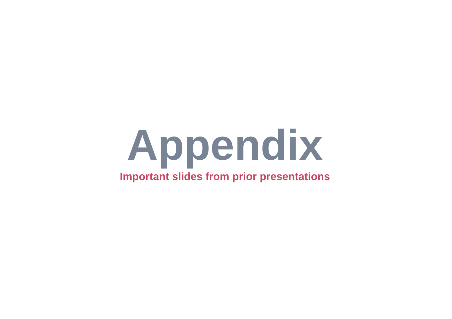# **Appendix Important slides from prior presentations**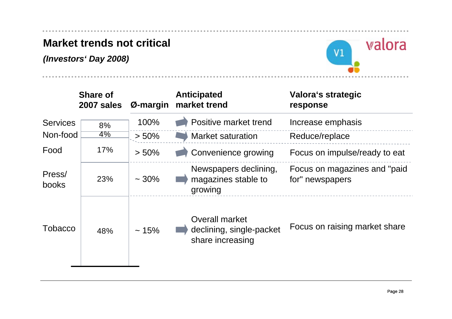#### **Market trends not critical**

*(Investors' Day 2008)*



|                 | <b>Share of</b><br>2007 sales | Ø-margin   | <b>Anticipated</b><br>market trend                                    | Valora's strategic<br>response                   |
|-----------------|-------------------------------|------------|-----------------------------------------------------------------------|--------------------------------------------------|
| <b>Services</b> | 8%                            | 100%       | Positive market trend                                                 | Increase emphasis                                |
| Non-food        | $4\%$                         | $> 50\%$   | <b>Market saturation</b>                                              | Reduce/replace                                   |
| Food            | 17%                           | $> 50\%$   | Convenience growing                                                   | Focus on impulse/ready to eat                    |
| Press/<br>books | 23%                           | $\sim$ 30% | Newspapers declining,<br>magazines stable to<br>growing               | Focus on magazines and "paid"<br>for" newspapers |
| Tobacco         | 48%                           | ~15%       | <b>Overall market</b><br>declining, single-packet<br>share increasing | Focus on raising market share                    |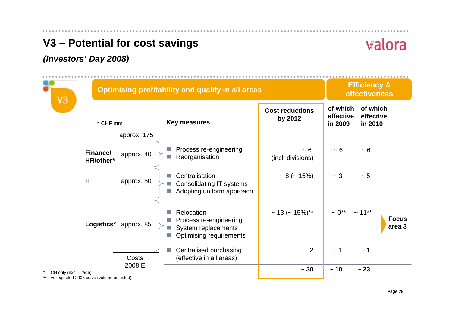## **V3 – Potential for cost savings**

#### *(Investors' Day 2008)*

| VЗ                                                                | <b>Optimising profitability and quality in all areas</b> |                                                                                                                     |                                   |                                  |                                    |  |  |
|-------------------------------------------------------------------|----------------------------------------------------------|---------------------------------------------------------------------------------------------------------------------|-----------------------------------|----------------------------------|------------------------------------|--|--|
| In CHF mm                                                         |                                                          | <b>Key measures</b>                                                                                                 | <b>Cost reductions</b><br>by 2012 | of which<br>effective<br>in 2009 | of which<br>effective<br>in 2010   |  |  |
|                                                                   | approx. 175                                              |                                                                                                                     |                                   |                                  |                                    |  |  |
| Finance/<br>HR/other*                                             | approx. $40$                                             | Process re-engineering<br>L.<br>Reorganisation                                                                      | ~5<br>(incl. divisions)           | ~5                               | ~5                                 |  |  |
| IT                                                                | approx. 50                                               | Centralisation<br>ш<br>Consolidating IT systems<br>Adopting uniform approach                                        | $\sim 8$ (~ 15%)                  | ~1                               | $\sim 5$                           |  |  |
| Logistics*                                                        | $ $ approx. 85 $ $                                       | Relocation<br>L.<br>Process re-engineering<br>ш<br>System replacements<br>a.<br><b>Optimising requirements</b><br>ш | ~ 13 (~ 15%)**                    | $\sim 0^{**}$                    | $~11***$<br><b>Focus</b><br>area 3 |  |  |
|                                                                   | Costs                                                    | Centralised purchasing<br>H.<br>(effective in all areas)                                                            | ~2                                | ~1                               | ~1                                 |  |  |
| CH only (excl. Trade)<br>vs expected 2008 costs (volume adjusted) | 2008 E                                                   |                                                                                                                     | $\sim 30$                         | $\sim 10$                        | ~23                                |  |  |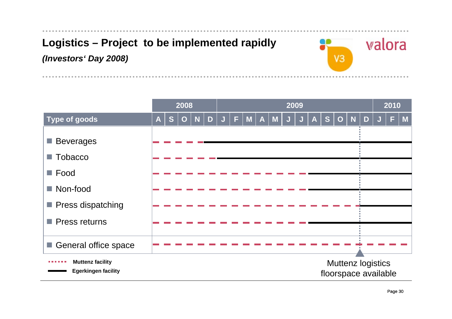## **Logistics – Project to be implemented rapidly** *(Investors' Day 2008)*



|                                                       |                  |   | 2008        |   |   | 2009 |   |   |              |              |   | 2010 |    |             |   |                                                  |  |   |   |
|-------------------------------------------------------|------------------|---|-------------|---|---|------|---|---|--------------|--------------|---|------|----|-------------|---|--------------------------------------------------|--|---|---|
| <b>Type of goods</b>                                  | $\boldsymbol{A}$ | S | $\mathbf O$ | N | D | ĸ.   | F | M | $\mathsf{A}$ | $\mathbf{M}$ | J | A    | S. | $\mathbf O$ | N | D                                                |  | F | M |
| <b>Beverages</b>                                      |                  |   |             |   |   |      |   |   |              |              |   |      |    |             |   |                                                  |  |   |   |
| $\blacksquare$ Tobacco<br>$\blacksquare$ Food         |                  |   |             |   |   |      |   |   |              |              |   |      |    |             |   |                                                  |  |   |   |
| ■ Non-food<br>■ Press dispatching                     |                  |   |             |   |   |      |   |   |              |              |   |      |    |             |   |                                                  |  |   |   |
| <b>Press returns</b>                                  |                  |   |             |   |   |      |   |   |              |              |   |      |    |             |   |                                                  |  |   |   |
| General office space                                  |                  |   |             |   |   |      |   |   |              |              |   |      |    |             |   |                                                  |  |   |   |
| <b>Muttenz facility</b><br><b>Egerkingen facility</b> |                  |   |             |   |   |      |   |   |              |              |   |      |    |             |   | <b>Muttenz logistics</b><br>floorspace available |  |   |   |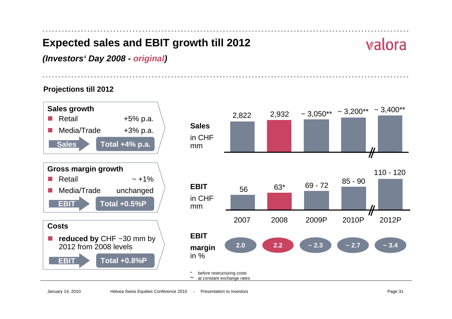## **Expected sales and EBIT growth till 2012**

## valora

*(Investors' Day 2008 - original)*

**Projections till 2012**

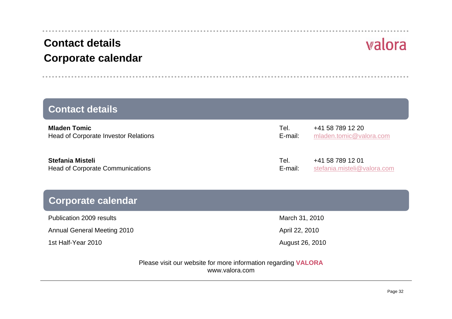#### January 14, 2010 Helvea Swiss Equity Equity Equity Equity Equity Equity Equity Page 32

### **Contact details Corporate calendar**

#### **Mladen Tor c**  $+41\,58\,789\,12\,20$ Head of Corporate Investor Relations **Example 2018** E-mail: [mladen.tomic@valora.com](mailto:mladen.tomic@valora.com) **Stefania Mi**  Tel. +41 58 789 12 01Head of Corporate Communications entity and the state of the [stefania.misteli@valora.com](mailto:stefania.misteli@valora.com) **Contact details**

#### **Corporat**

Publication 2009 results March 31, 2010

Annual General Meeting 2010 April 22, 2010

1st Half-Year 2010

August 26, 2010

Please visit our website for more information regarding **VALORA** www.valora.com

| u uctano                   |         |                             |
|----------------------------|---------|-----------------------------|
| mic                        | Tel.    | +41 58 789 12 20            |
| rporate Investor Relations | E-mail: | mladen.tomic@valora.com     |
| isteli                     | Tel.    | +41 58 789 12 01            |
| rporate Communications     | E-mail: | stefania.misteli@valora.com |
| ate calendar               |         |                             |

# valora

. . . . . . . . . . . .